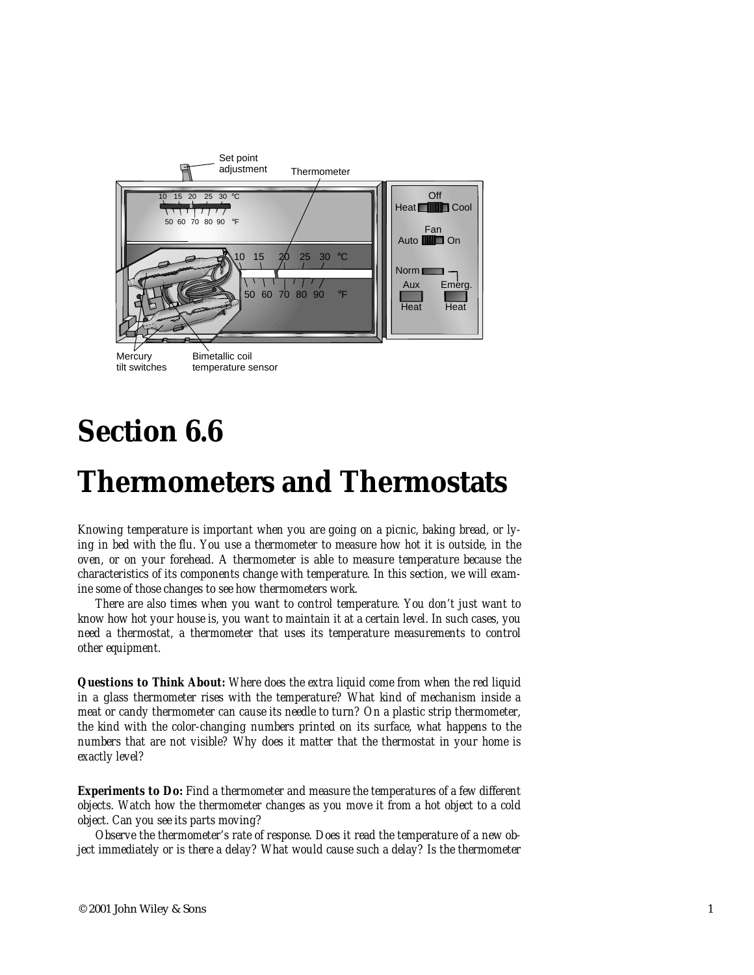

**Mercury** tilt switches

Bimetallic coil temperature sensor

# **Section 6.6**

# **Thermometers and Thermostats**

*Knowing temperature is important when you are going on a picnic, baking bread, or lying in bed with the flu. You use a thermometer to measure how hot it is outside, in the oven, or on your forehead. A thermometer is able to measure temperature because the characteristics of its components change with temperature. In this section, we will examine some of those changes to see how thermometers work.* 

*There are also times when you want to control temperature. You don't just want to know how hot your house is, you want to maintain it at a certain level. In such cases, you need a thermostat, a thermometer that uses its temperature measurements to control other equipment.* 

*Questions to Think About: Where does the extra liquid come from when the red liquid in a glass thermometer rises with the temperature? What kind of mechanism inside a meat or candy thermometer can cause its needle to turn? On a plastic strip thermometer, the kind with the color-changing numbers printed on its surface, what happens to the numbers that are not visible? Why does it matter that the thermostat in your home is exactly level?* 

*Experiments to Do: Find a thermometer and measure the temperatures of a few different objects. Watch how the thermometer changes as you move it from a hot object to a cold object. Can you see its parts moving?* 

*Observe the thermometer's rate of response. Does it read the temperature of a new object immediately or is there a delay? What would cause such a delay? Is the thermometer*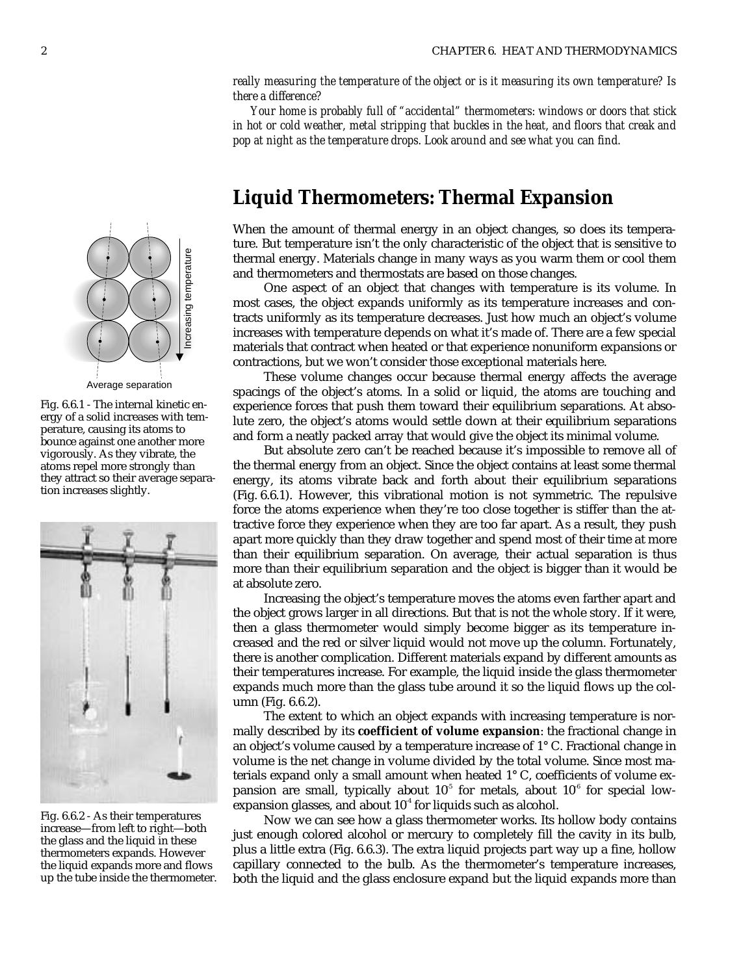*really measuring the temperature of the object or is it measuring its own temperature? Is there a difference?* 

*Your home is probably full of "accidental" thermometers: windows or doors that stick in hot or cold weather, metal stripping that buckles in the heat, and floors that creak and pop at night as the temperature drops. Look around and see what you can find.* 

### **Liquid Thermometers: Thermal Expansion**

When the amount of thermal energy in an object changes, so does its temperature. But temperature isn't the only characteristic of the object that is sensitive to thermal energy. Materials change in many ways as you warm them or cool them and thermometers and thermostats are based on those changes.

One aspect of an object that changes with temperature is its volume. In most cases, the object expands uniformly as its temperature increases and contracts uniformly as its temperature decreases. Just how much an object's volume increases with temperature depends on what it's made of. There are a few special materials that contract when heated or that experience nonuniform expansions or contractions, but we won't consider those exceptional materials here.

These volume changes occur because thermal energy affects the average spacings of the object's atoms. In a solid or liquid, the atoms are touching and experience forces that push them toward their equilibrium separations. At absolute zero, the object's atoms would settle down at their equilibrium separations and form a neatly packed array that would give the object its minimal volume.

But absolute zero can't be reached because it's impossible to remove all of the thermal energy from an object. Since the object contains at least some thermal energy, its atoms vibrate back and forth about their equilibrium separations (Fig. 6.6.1). However, this vibrational motion is not symmetric. The repulsive force the atoms experience when they're too close together is stiffer than the attractive force they experience when they are too far apart. As a result, they push apart more quickly than they draw together and spend most of their time at more than their equilibrium separation. On average, their actual separation is thus more than their equilibrium separation and the object is bigger than it would be at absolute zero.

Increasing the object's temperature moves the atoms even farther apart and the object grows larger in all directions. But that is not the whole story. If it were, then a glass thermometer would simply become bigger as its temperature increased and the red or silver liquid would not move up the column. Fortunately, there is another complication. Different materials expand by different amounts as their temperatures increase. For example, the liquid inside the glass thermometer expands much more than the glass tube around it so the liquid flows up the column (Fig. 6.6.2).

The extent to which an object expands with increasing temperature is normally described by its **coefficient of volume expansion**: the fractional change in an object's volume caused by a temperature increase of 1° C. Fractional change in volume is the net change in volume divided by the total volume. Since most materials expand only a small amount when heated 1° C, coefficients of volume expansion are small, typically about  $10^5$  for metals, about  $10^6$  for special lowexpansion glasses, and about  $10<sup>4</sup>$  for liquids such as alcohol.

Now we can see how a glass thermometer works. Its hollow body contains just enough colored alcohol or mercury to completely fill the cavity in its bulb, plus a little extra (Fig. 6.6.3). The extra liquid projects part way up a fine, hollow capillary connected to the bulb. As the thermometer's temperature increases, both the liquid and the glass enclosure expand but the liquid expands more than

Average separation Fig. 6.6.1 - The internal kinetic energy of a solid increases with temperature, causing its atoms to bounce against one another more vigorously. As they vibrate, the atoms repel more strongly than they attract so their average separation increases slightly.

Increasing temperature

ncreasing temperature



Fig. 6.6.2 - As their temperatures increase—from left to right—both the glass and the liquid in these thermometers expands. However the liquid expands more and flows up the tube inside the thermometer.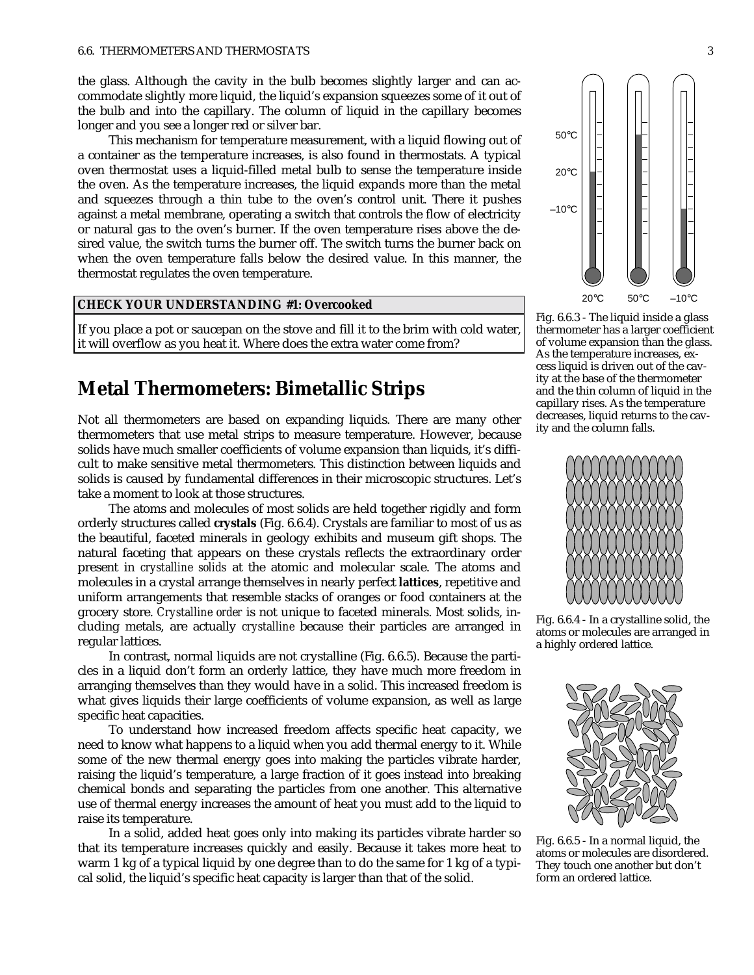the glass. Although the cavity in the bulb becomes slightly larger and can accommodate slightly more liquid, the liquid's expansion squeezes some of it out of the bulb and into the capillary. The column of liquid in the capillary becomes longer and you see a longer red or silver bar.

This mechanism for temperature measurement, with a liquid flowing out of a container as the temperature increases, is also found in thermostats. A typical oven thermostat uses a liquid-filled metal bulb to sense the temperature inside the oven. As the temperature increases, the liquid expands more than the metal and squeezes through a thin tube to the oven's control unit. There it pushes against a metal membrane, operating a switch that controls the flow of electricity or natural gas to the oven's burner. If the oven temperature rises above the desired value, the switch turns the burner off. The switch turns the burner back on when the oven temperature falls below the desired value. In this manner, the thermostat regulates the oven temperature.

### **CHECK YOUR UNDERSTANDING #1: Overcooked**

If you place a pot or saucepan on the stove and fill it to the brim with cold water, it will overflow as you heat it. Where does the extra water come from?

## **Metal Thermometers: Bimetallic Strips**

Not all thermometers are based on expanding liquids. There are many other thermometers that use metal strips to measure temperature. However, because solids have much smaller coefficients of volume expansion than liquids, it's difficult to make sensitive metal thermometers. This distinction between liquids and solids is caused by fundamental differences in their microscopic structures. Let's take a moment to look at those structures.

The atoms and molecules of most solids are held together rigidly and form orderly structures called **crystals** (Fig. 6.6.4). Crystals are familiar to most of us as the beautiful, faceted minerals in geology exhibits and museum gift shops. The natural faceting that appears on these crystals reflects the extraordinary order present in *crystalline solids* at the atomic and molecular scale. The atoms and molecules in a crystal arrange themselves in nearly perfect **lattices**, repetitive and uniform arrangements that resemble stacks of oranges or food containers at the grocery store. *Crystalline order* is not unique to faceted minerals. Most solids, including metals, are actually *crystalline* because their particles are arranged in regular lattices.

In contrast, normal liquids are not crystalline (Fig. 6.6.5). Because the particles in a liquid don't form an orderly lattice, they have much more freedom in arranging themselves than they would have in a solid. This increased freedom is what gives liquids their large coefficients of volume expansion, as well as large specific heat capacities.

To understand how increased freedom affects specific heat capacity, we need to know what happens to a liquid when you add thermal energy to it. While some of the new thermal energy goes into making the particles vibrate harder, raising the liquid's temperature, a large fraction of it goes instead into breaking chemical bonds and separating the particles from one another. This alternative use of thermal energy increases the amount of heat you must add to the liquid to raise its temperature.

In a solid, added heat goes only into making its particles vibrate harder so that its temperature increases quickly and easily. Because it takes more heat to warm 1 kg of a typical liquid by one degree than to do the same for 1 kg of a typical solid, the liquid's specific heat capacity is larger than that of the solid.



Fig. 6.6.3 - The liquid inside a glass thermometer has a larger coefficient of volume expansion than the glass. As the temperature increases, excess liquid is driven out of the cavity at the base of the thermometer and the thin column of liquid in the capillary rises. As the temperature decreases, liquid returns to the cavity and the column falls.



Fig. 6.6.4 - In a crystalline solid, the atoms or molecules are arranged in a highly ordered lattice.



Fig. 6.6.5 - In a normal liquid, the atoms or molecules are disordered. They touch one another but don't form an ordered lattice.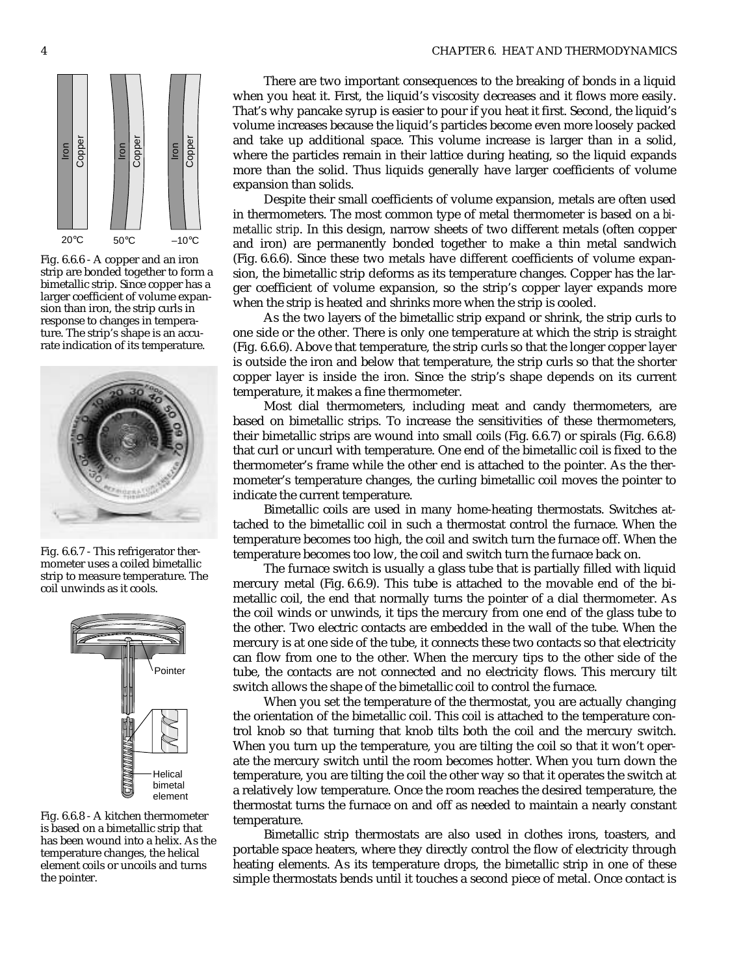

Fig. 6.6.6 - A copper and an iron strip are bonded together to form a bimetallic strip. Since copper has a larger coefficient of volume expansion than iron, the strip curls in response to changes in temperature. The strip's shape is an accurate indication of its temperature.



Fig. 6.6.7 - This refrigerator thermometer uses a coiled bimetallic strip to measure temperature. The coil unwinds as it cools.



Fig. 6.6.8 - A kitchen thermometer is based on a bimetallic strip that has been wound into a helix. As the temperature changes, the helical element coils or uncoils and turns the pointer.

There are two important consequences to the breaking of bonds in a liquid when you heat it. First, the liquid's viscosity decreases and it flows more easily. That's why pancake syrup is easier to pour if you heat it first. Second, the liquid's volume increases because the liquid's particles become even more loosely packed and take up additional space. This volume increase is larger than in a solid, where the particles remain in their lattice during heating, so the liquid expands more than the solid. Thus liquids generally have larger coefficients of volume expansion than solids.

Despite their small coefficients of volume expansion, metals are often used in thermometers. The most common type of metal thermometer is based on a *bimetallic strip*. In this design, narrow sheets of two different metals (often copper and iron) are permanently bonded together to make a thin metal sandwich (Fig. 6.6.6). Since these two metals have different coefficients of volume expansion, the bimetallic strip deforms as its temperature changes. Copper has the larger coefficient of volume expansion, so the strip's copper layer expands more when the strip is heated and shrinks more when the strip is cooled.

As the two layers of the bimetallic strip expand or shrink, the strip curls to one side or the other. There is only one temperature at which the strip is straight (Fig. 6.6.6). Above that temperature, the strip curls so that the longer copper layer is outside the iron and below that temperature, the strip curls so that the shorter copper layer is inside the iron. Since the strip's shape depends on its current temperature, it makes a fine thermometer.

Most dial thermometers, including meat and candy thermometers, are based on bimetallic strips. To increase the sensitivities of these thermometers, their bimetallic strips are wound into small coils (Fig. 6.6.7) or spirals (Fig. 6.6.8) that curl or uncurl with temperature. One end of the bimetallic coil is fixed to the thermometer's frame while the other end is attached to the pointer. As the thermometer's temperature changes, the curling bimetallic coil moves the pointer to indicate the current temperature.

Bimetallic coils are used in many home-heating thermostats. Switches attached to the bimetallic coil in such a thermostat control the furnace. When the temperature becomes too high, the coil and switch turn the furnace off. When the temperature becomes too low, the coil and switch turn the furnace back on.

The furnace switch is usually a glass tube that is partially filled with liquid mercury metal (Fig. 6.6.9). This tube is attached to the movable end of the bimetallic coil, the end that normally turns the pointer of a dial thermometer. As the coil winds or unwinds, it tips the mercury from one end of the glass tube to the other. Two electric contacts are embedded in the wall of the tube. When the mercury is at one side of the tube, it connects these two contacts so that electricity can flow from one to the other. When the mercury tips to the other side of the tube, the contacts are not connected and no electricity flows. This mercury tilt switch allows the shape of the bimetallic coil to control the furnace.

When you set the temperature of the thermostat, you are actually changing the orientation of the bimetallic coil. This coil is attached to the temperature control knob so that turning that knob tilts both the coil and the mercury switch. When you turn up the temperature, you are tilting the coil so that it won't operate the mercury switch until the room becomes hotter. When you turn down the temperature, you are tilting the coil the other way so that it operates the switch at a relatively low temperature. Once the room reaches the desired temperature, the thermostat turns the furnace on and off as needed to maintain a nearly constant temperature.

Bimetallic strip thermostats are also used in clothes irons, toasters, and portable space heaters, where they directly control the flow of electricity through heating elements. As its temperature drops, the bimetallic strip in one of these simple thermostats bends until it touches a second piece of metal. Once contact is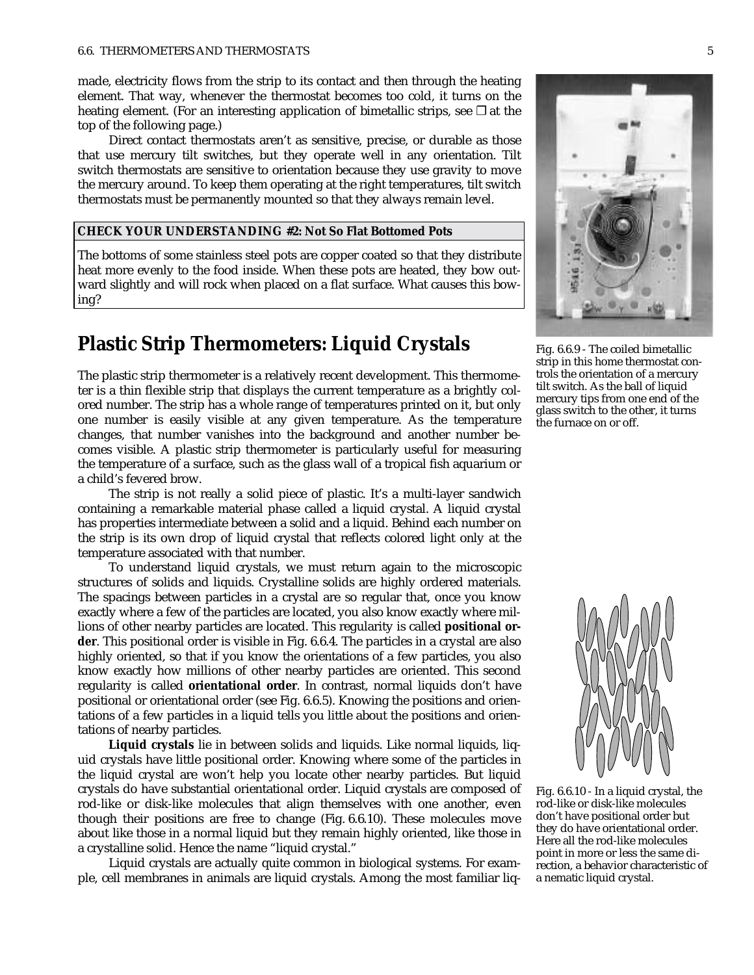made, electricity flows from the strip to its contact and then through the heating element. That way, whenever the thermostat becomes too cold, it turns on the heating element. (For an interesting application of bimetallic strips, see  $\Box$  at the top of the following page.)

Direct contact thermostats aren't as sensitive, precise, or durable as those that use mercury tilt switches, but they operate well in any orientation. Tilt switch thermostats are sensitive to orientation because they use gravity to move the mercury around. To keep them operating at the right temperatures, tilt switch thermostats must be permanently mounted so that they always remain level.

#### **CHECK YOUR UNDERSTANDING #2: Not So Flat Bottomed Pots**

The bottoms of some stainless steel pots are copper coated so that they distribute heat more evenly to the food inside. When these pots are heated, they bow outward slightly and will rock when placed on a flat surface. What causes this bowing?

# **Plastic Strip Thermometers: Liquid Crystals**

The plastic strip thermometer is a relatively recent development. This thermometer is a thin flexible strip that displays the current temperature as a brightly colored number. The strip has a whole range of temperatures printed on it, but only one number is easily visible at any given temperature. As the temperature changes, that number vanishes into the background and another number becomes visible. A plastic strip thermometer is particularly useful for measuring the temperature of a surface, such as the glass wall of a tropical fish aquarium or a child's fevered brow.

The strip is not really a solid piece of plastic. It's a multi-layer sandwich containing a remarkable material phase called a liquid crystal. A liquid crystal has properties intermediate between a solid and a liquid. Behind each number on the strip is its own drop of liquid crystal that reflects colored light only at the temperature associated with that number.

To understand liquid crystals, we must return again to the microscopic structures of solids and liquids. Crystalline solids are highly ordered materials. The spacings between particles in a crystal are so regular that, once you know exactly where a few of the particles are located, you also know exactly where millions of other nearby particles are located. This regularity is called **positional order**. This positional order is visible in Fig. 6.6.4. The particles in a crystal are also highly oriented, so that if you know the orientations of a few particles, you also know exactly how millions of other nearby particles are oriented. This second regularity is called **orientational order**. In contrast, normal liquids don't have positional or orientational order (see Fig. 6.6.5). Knowing the positions and orientations of a few particles in a liquid tells you little about the positions and orientations of nearby particles.

**Liquid crystals** lie in between solids and liquids. Like normal liquids, liquid crystals have little positional order. Knowing where some of the particles in the liquid crystal are won't help you locate other nearby particles. But liquid crystals do have substantial orientational order. Liquid crystals are composed of rod-like or disk-like molecules that align themselves with one another, even though their positions are free to change (Fig. 6.6.10). These molecules move about like those in a normal liquid but they remain highly oriented, like those in a crystalline solid. Hence the name "liquid crystal."

Liquid crystals are actually quite common in biological systems. For example, cell membranes in animals are liquid crystals. Among the most familiar liq-



Fig. 6.6.9 - The coiled bimetallic strip in this home thermostat controls the orientation of a mercury tilt switch. As the ball of liquid mercury tips from one end of the glass switch to the other, it turns the furnace on or off.



Fig. 6.6.10 - In a liquid crystal, the rod-like or disk-like molecules don't have positional order but they do have orientational order. Here all the rod-like molecules point in more or less the same direction, a behavior characteristic of a nematic liquid crystal.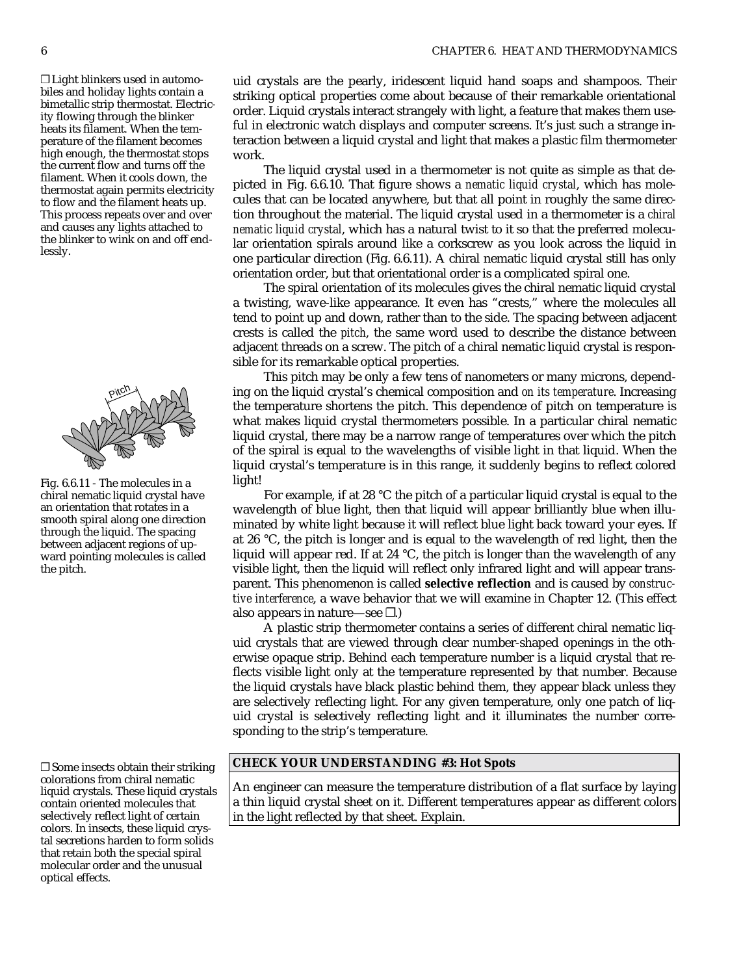❐ Light blinkers used in automobiles and holiday lights contain a bimetallic strip thermostat. Electricity flowing through the blinker heats its filament. When the temperature of the filament becomes high enough, the thermostat stops the current flow and turns off the filament. When it cools down, the thermostat again permits electricity to flow and the filament heats up. This process repeats over and over and causes any lights attached to the blinker to wink on and off endlessly.



Fig. 6.6.11 - The molecules in a chiral nematic liquid crystal have an orientation that rotates in a smooth spiral along one direction through the liquid. The spacing between adjacent regions of upward pointing molecules is called the pitch.

 $\square$  Some insects obtain their striking colorations from chiral nematic liquid crystals. These liquid crystals contain oriented molecules that selectively reflect light of certain colors. In insects, these liquid crystal secretions harden to form solids that retain both the special spiral molecular order and the unusual optical effects.

uid crystals are the pearly, iridescent liquid hand soaps and shampoos. Their striking optical properties come about because of their remarkable orientational order. Liquid crystals interact strangely with light, a feature that makes them useful in electronic watch displays and computer screens. It's just such a strange interaction between a liquid crystal and light that makes a plastic film thermometer work.

The liquid crystal used in a thermometer is not quite as simple as that depicted in Fig. 6.6.10. That figure shows a *nematic liquid crystal*, which has molecules that can be located anywhere, but that all point in roughly the same direction throughout the material. The liquid crystal used in a thermometer is a *chiral nematic liquid crystal*, which has a natural twist to it so that the preferred molecular orientation spirals around like a corkscrew as you look across the liquid in one particular direction (Fig. 6.6.11). A chiral nematic liquid crystal still has only orientation order, but that orientational order is a complicated spiral one.

The spiral orientation of its molecules gives the chiral nematic liquid crystal a twisting, wave-like appearance. It even has "crests," where the molecules all tend to point up and down, rather than to the side. The spacing between adjacent crests is called the *pitch*, the same word used to describe the distance between adjacent threads on a screw. The pitch of a chiral nematic liquid crystal is responsible for its remarkable optical properties.

This pitch may be only a few tens of nanometers or many microns, depending on the liquid crystal's chemical composition and *on its temperature*. Increasing the temperature shortens the pitch. This dependence of pitch on temperature is what makes liquid crystal thermometers possible. In a particular chiral nematic liquid crystal, there may be a narrow range of temperatures over which the pitch of the spiral is equal to the wavelengths of visible light in that liquid. When the liquid crystal's temperature is in this range, it suddenly begins to reflect colored light!

For example, if at 28 °C the pitch of a particular liquid crystal is equal to the wavelength of blue light, then that liquid will appear brilliantly blue when illuminated by white light because it will reflect blue light back toward your eyes. If at 26 °C, the pitch is longer and is equal to the wavelength of red light, then the liquid will appear red. If at 24 °C, the pitch is longer than the wavelength of any visible light, then the liquid will reflect only infrared light and will appear transparent. This phenomenon is called **selective reflection** and is caused by *constructive interference*, a wave behavior that we will examine in Chapter 12. (This effect also appears in nature—see ❐.)

A plastic strip thermometer contains a series of different chiral nematic liquid crystals that are viewed through clear number-shaped openings in the otherwise opaque strip. Behind each temperature number is a liquid crystal that reflects visible light only at the temperature represented by that number. Because the liquid crystals have black plastic behind them, they appear black unless they are selectively reflecting light. For any given temperature, only one patch of liquid crystal is selectively reflecting light and it illuminates the number corresponding to the strip's temperature.

#### **CHECK YOUR UNDERSTANDING #3: Hot Spots**

An engineer can measure the temperature distribution of a flat surface by laying a thin liquid crystal sheet on it. Different temperatures appear as different colors in the light reflected by that sheet. Explain.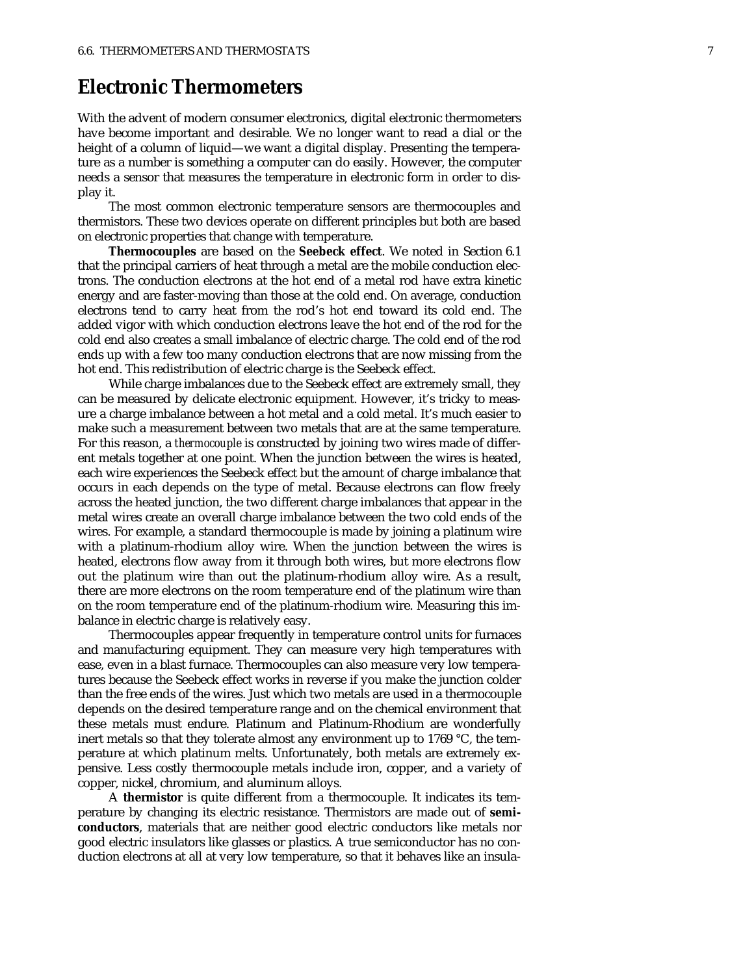## **Electronic Thermometers**

With the advent of modern consumer electronics, digital electronic thermometers have become important and desirable. We no longer want to read a dial or the height of a column of liquid—we want a digital display. Presenting the temperature as a number is something a computer can do easily. However, the computer needs a sensor that measures the temperature in electronic form in order to display it.

The most common electronic temperature sensors are thermocouples and thermistors. These two devices operate on different principles but both are based on electronic properties that change with temperature.

**Thermocouples** are based on the **Seebeck effect**. We noted in Section 6.1 that the principal carriers of heat through a metal are the mobile conduction electrons. The conduction electrons at the hot end of a metal rod have extra kinetic energy and are faster-moving than those at the cold end. On average, conduction electrons tend to carry heat from the rod's hot end toward its cold end. The added vigor with which conduction electrons leave the hot end of the rod for the cold end also creates a small imbalance of electric charge. The cold end of the rod ends up with a few too many conduction electrons that are now missing from the hot end. This redistribution of electric charge is the Seebeck effect.

While charge imbalances due to the Seebeck effect are extremely small, they can be measured by delicate electronic equipment. However, it's tricky to measure a charge imbalance between a hot metal and a cold metal. It's much easier to make such a measurement between two metals that are at the same temperature. For this reason, a *thermocouple* is constructed by joining two wires made of different metals together at one point. When the junction between the wires is heated, each wire experiences the Seebeck effect but the amount of charge imbalance that occurs in each depends on the type of metal. Because electrons can flow freely across the heated junction, the two different charge imbalances that appear in the metal wires create an overall charge imbalance between the two cold ends of the wires. For example, a standard thermocouple is made by joining a platinum wire with a platinum-rhodium alloy wire. When the junction between the wires is heated, electrons flow away from it through both wires, but more electrons flow out the platinum wire than out the platinum-rhodium alloy wire. As a result, there are more electrons on the room temperature end of the platinum wire than on the room temperature end of the platinum-rhodium wire. Measuring this imbalance in electric charge is relatively easy.

Thermocouples appear frequently in temperature control units for furnaces and manufacturing equipment. They can measure very high temperatures with ease, even in a blast furnace. Thermocouples can also measure very low temperatures because the Seebeck effect works in reverse if you make the junction colder than the free ends of the wires. Just which two metals are used in a thermocouple depends on the desired temperature range and on the chemical environment that these metals must endure. Platinum and Platinum-Rhodium are wonderfully inert metals so that they tolerate almost any environment up to 1769 °C, the temperature at which platinum melts. Unfortunately, both metals are extremely expensive. Less costly thermocouple metals include iron, copper, and a variety of copper, nickel, chromium, and aluminum alloys.

A **thermistor** is quite different from a thermocouple. It indicates its temperature by changing its electric resistance. Thermistors are made out of **semiconductors**, materials that are neither good electric conductors like metals nor good electric insulators like glasses or plastics. A true semiconductor has no conduction electrons at all at very low temperature, so that it behaves like an insula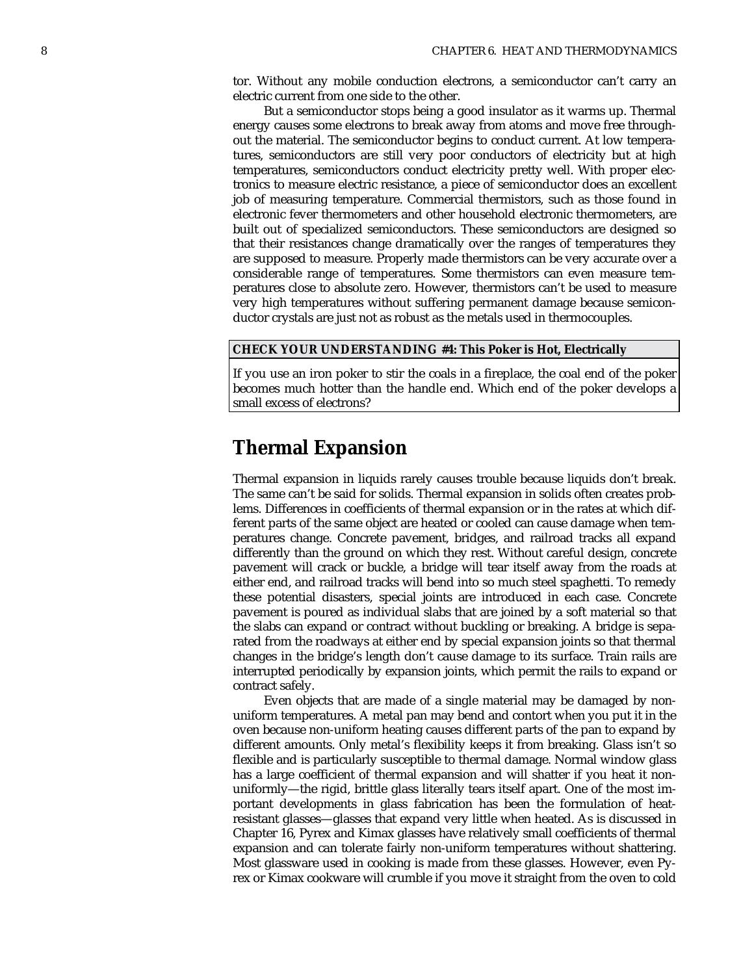tor. Without any mobile conduction electrons, a semiconductor can't carry an electric current from one side to the other.

But a semiconductor stops being a good insulator as it warms up. Thermal energy causes some electrons to break away from atoms and move free throughout the material. The semiconductor begins to conduct current. At low temperatures, semiconductors are still very poor conductors of electricity but at high temperatures, semiconductors conduct electricity pretty well. With proper electronics to measure electric resistance, a piece of semiconductor does an excellent job of measuring temperature. Commercial thermistors, such as those found in electronic fever thermometers and other household electronic thermometers, are built out of specialized semiconductors. These semiconductors are designed so that their resistances change dramatically over the ranges of temperatures they are supposed to measure. Properly made thermistors can be very accurate over a considerable range of temperatures. Some thermistors can even measure temperatures close to absolute zero. However, thermistors can't be used to measure very high temperatures without suffering permanent damage because semiconductor crystals are just not as robust as the metals used in thermocouples.

#### **CHECK YOUR UNDERSTANDING #4: This Poker is Hot, Electrically**

If you use an iron poker to stir the coals in a fireplace, the coal end of the poker becomes much hotter than the handle end. Which end of the poker develops a small excess of electrons?

## **Thermal Expansion**

Thermal expansion in liquids rarely causes trouble because liquids don't break. The same can't be said for solids. Thermal expansion in solids often creates problems. Differences in coefficients of thermal expansion or in the rates at which different parts of the same object are heated or cooled can cause damage when temperatures change. Concrete pavement, bridges, and railroad tracks all expand differently than the ground on which they rest. Without careful design, concrete pavement will crack or buckle, a bridge will tear itself away from the roads at either end, and railroad tracks will bend into so much steel spaghetti. To remedy these potential disasters, special joints are introduced in each case. Concrete pavement is poured as individual slabs that are joined by a soft material so that the slabs can expand or contract without buckling or breaking. A bridge is separated from the roadways at either end by special expansion joints so that thermal changes in the bridge's length don't cause damage to its surface. Train rails are interrupted periodically by expansion joints, which permit the rails to expand or contract safely.

Even objects that are made of a single material may be damaged by nonuniform temperatures. A metal pan may bend and contort when you put it in the oven because non-uniform heating causes different parts of the pan to expand by different amounts. Only metal's flexibility keeps it from breaking. Glass isn't so flexible and is particularly susceptible to thermal damage. Normal window glass has a large coefficient of thermal expansion and will shatter if you heat it nonuniformly—the rigid, brittle glass literally tears itself apart. One of the most important developments in glass fabrication has been the formulation of heatresistant glasses—glasses that expand very little when heated. As is discussed in Chapter 16, Pyrex and Kimax glasses have relatively small coefficients of thermal expansion and can tolerate fairly non-uniform temperatures without shattering. Most glassware used in cooking is made from these glasses. However, even Pyrex or Kimax cookware will crumble if you move it straight from the oven to cold